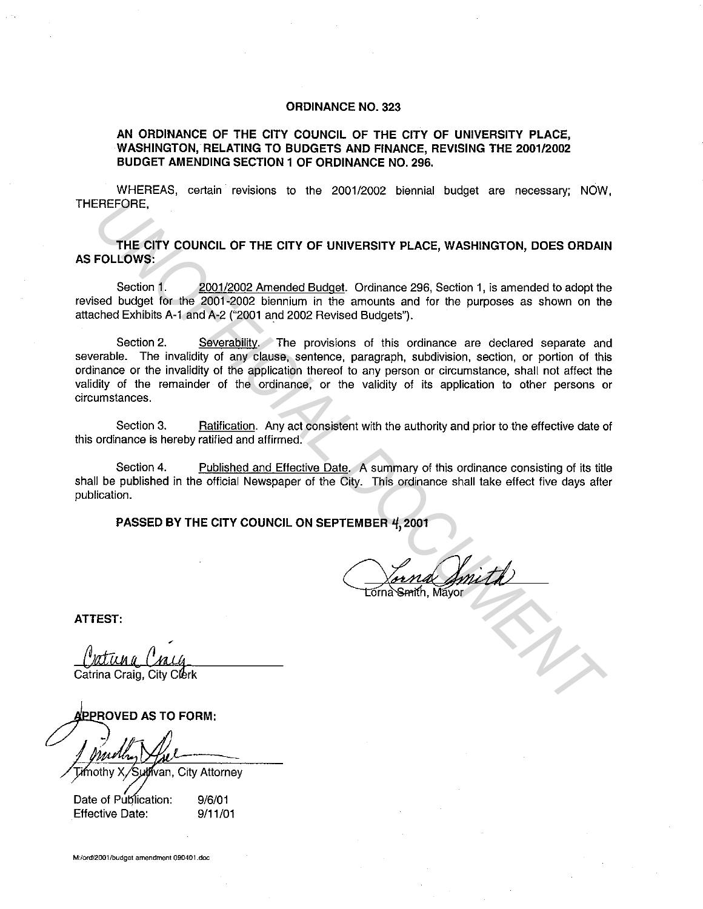## **ORDINANCE NO. 323**

## **AN ORDINANCE OF THE CITY COUNCIL OF THE CITY OF UNIVERSITY PLACE, WASHINGTON, RELATING TO BUDGETS AND FINANCE, REVISING THE 2001/2002 BUDGET AMENDING SECTION 1 OF ORDINANCE NO. 296.**

WHEREAS, certain revisions to the 2001/2002 biennial budget are necessary; NOW, THEREFORE,

**THE CITY COUNCIL OF THE CITY OF UNIVERSITY PLACE, WASHINGTON, DOES ORDAIN AS FOLLOWS:** 

Section 1. 2001/2002 Amended Budget. Ordinance 296, Section 1, is amended to adopt the revised budget for the 2001-2002 biennium in the amounts and for the purposes as shown on the attached Exhibits A-1 and A-2 ("2001 and 2002 Revised Budgets").

Section 2. Severability. The provisions of this ordinance are declared separate and severable. The invalidity of any clause, sentence, paragraph, subdivision, section, or portion of this ordinance or the invalidity of the application thereof to any person or circumstance, shall not affect the validity of the remainder of the ordinance, or the validity of its application to other persons or circumstances. **THE CITY COUNCIL OF THE CITY OF UNIVERSITY PLACE, WASHINGTON, DOES ORDAN<br>
FOLLOWS:**<br> **THE CITY COUNCIL OF THE CITY OF UNIVERSITY PLACE, WASHINGTON, DOES ORDAN**<br>
Second 1. 2001/2002 Amended Budget, Ordinance 296, Section 1

Section 3. Ratification. Any act consistent with the authority and prior to the effective date of this ordinance is hereby ratified and affirmed.

Section 4. Published and Effective Date. A summary of this ordinance consisting of its title shall be published in the official Newspaper of the City. This ordinance shall take effect five days after publication.

**PASSED BY THE CITY COUNCIL ON SEPTEMBER 4, 2001** 

**ATTEST:** 

Suthvan, City Attorney

Date of Publication: **Effective Date:** 

9/6/01 9/11/01

**M:/ord/2001/budget amendment 090401.doc**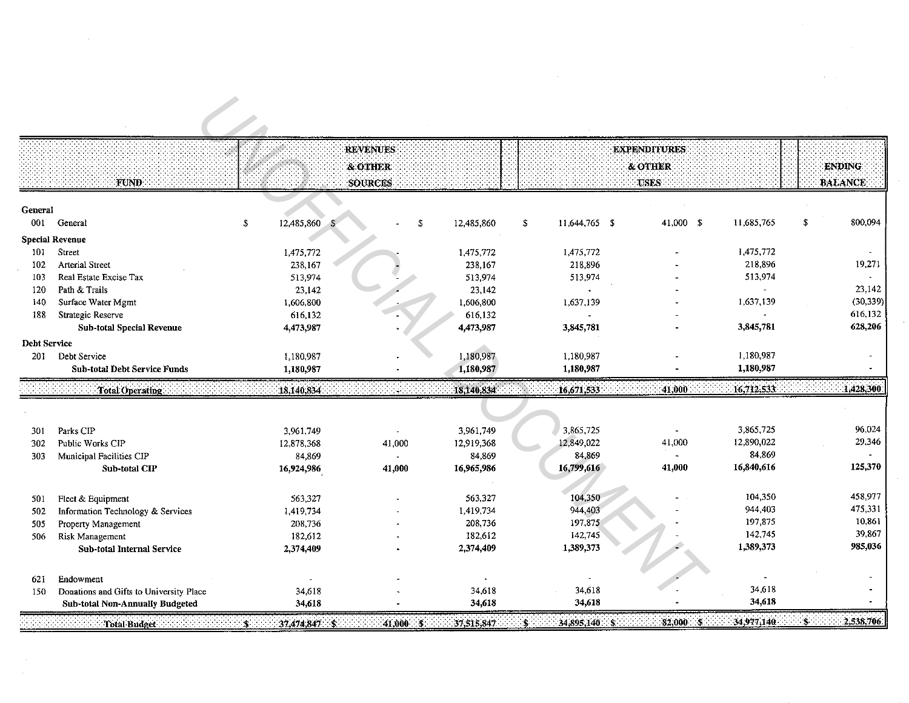| fund.                                   |                                                                                                                                                                                                                           | <b>REVENUES</b><br>& OTHER<br>SOURCES |                                                                                                                                                                                                                                                    |                                                                               | <b>EXPENDITURES</b><br>& OTHER<br><b>USES</b>           |                                       |                                                | <b>ENDING</b><br><b>BALANCE</b> |
|-----------------------------------------|---------------------------------------------------------------------------------------------------------------------------------------------------------------------------------------------------------------------------|---------------------------------------|----------------------------------------------------------------------------------------------------------------------------------------------------------------------------------------------------------------------------------------------------|-------------------------------------------------------------------------------|---------------------------------------------------------|---------------------------------------|------------------------------------------------|---------------------------------|
|                                         |                                                                                                                                                                                                                           |                                       |                                                                                                                                                                                                                                                    |                                                                               |                                                         |                                       |                                                |                                 |
| General                                 | $\mathbb{S}$                                                                                                                                                                                                              |                                       | 12,485,860<br>S                                                                                                                                                                                                                                    | \$                                                                            |                                                         | 11,685,765                            | $\sqrt{2}$                                     | 800,094                         |
|                                         |                                                                                                                                                                                                                           |                                       |                                                                                                                                                                                                                                                    |                                                                               |                                                         |                                       |                                                |                                 |
| Street                                  |                                                                                                                                                                                                                           |                                       | 1,475,772                                                                                                                                                                                                                                          | 1,475,772                                                                     |                                                         | 1,475,772                             |                                                |                                 |
| Arterial Street                         |                                                                                                                                                                                                                           |                                       | 238,167                                                                                                                                                                                                                                            | 218,896                                                                       |                                                         | 218,896                               |                                                | 19,271                          |
| Real Estate Excise Tax                  |                                                                                                                                                                                                                           |                                       | 513,974                                                                                                                                                                                                                                            | 513,974                                                                       |                                                         | 513,974                               |                                                |                                 |
| Path & Trails                           |                                                                                                                                                                                                                           |                                       | 23,142                                                                                                                                                                                                                                             |                                                                               |                                                         |                                       |                                                | 23,142                          |
| Surface Water Mgmt                      |                                                                                                                                                                                                                           |                                       | 1,606,800                                                                                                                                                                                                                                          | 1,637,139                                                                     |                                                         | 1,637,139                             |                                                | (30, 339)                       |
| Strategic Reserve                       |                                                                                                                                                                                                                           |                                       | 616,132                                                                                                                                                                                                                                            |                                                                               |                                                         |                                       |                                                | 616,132                         |
| <b>Sub-total Special Revenue</b>        |                                                                                                                                                                                                                           |                                       | 4,473,987                                                                                                                                                                                                                                          | 3,845,781                                                                     |                                                         | 3,845,781                             |                                                | 628,206                         |
|                                         |                                                                                                                                                                                                                           |                                       |                                                                                                                                                                                                                                                    |                                                                               |                                                         |                                       |                                                |                                 |
| Debt Service                            |                                                                                                                                                                                                                           |                                       | 1,180,987                                                                                                                                                                                                                                          | 1,180,987                                                                     |                                                         | 1,180,987                             |                                                |                                 |
| <b>Sub-total Debt Service Funds</b>     |                                                                                                                                                                                                                           |                                       | 1,180,987                                                                                                                                                                                                                                          | 1,180,987                                                                     |                                                         | 1,180,987                             |                                                |                                 |
| <b>Total Operating</b>                  |                                                                                                                                                                                                                           |                                       | 18,140,834                                                                                                                                                                                                                                         | :16,671,533                                                                   | 41,000                                                  | 16,712,533                            |                                                | 1,428,300                       |
|                                         |                                                                                                                                                                                                                           |                                       |                                                                                                                                                                                                                                                    |                                                                               |                                                         |                                       |                                                |                                 |
|                                         |                                                                                                                                                                                                                           |                                       |                                                                                                                                                                                                                                                    |                                                                               | $\blacksquare$                                          |                                       |                                                | 96,024                          |
|                                         |                                                                                                                                                                                                                           |                                       |                                                                                                                                                                                                                                                    |                                                                               |                                                         |                                       |                                                | 29,346                          |
|                                         |                                                                                                                                                                                                                           | $\sim$                                |                                                                                                                                                                                                                                                    |                                                                               |                                                         |                                       |                                                |                                 |
| Sub-total CIP                           |                                                                                                                                                                                                                           |                                       | 16,965,986                                                                                                                                                                                                                                         |                                                                               | 41,000                                                  | 16,840,616                            |                                                | 125,370                         |
|                                         |                                                                                                                                                                                                                           |                                       |                                                                                                                                                                                                                                                    |                                                                               |                                                         |                                       |                                                |                                 |
|                                         |                                                                                                                                                                                                                           |                                       |                                                                                                                                                                                                                                                    |                                                                               |                                                         | 104,350                               |                                                | 458,977                         |
|                                         |                                                                                                                                                                                                                           |                                       |                                                                                                                                                                                                                                                    |                                                                               |                                                         | 944,403                               |                                                | 475,331                         |
|                                         |                                                                                                                                                                                                                           |                                       | 208,736                                                                                                                                                                                                                                            | 197,875                                                                       |                                                         | 197,875                               |                                                | 10,861                          |
|                                         |                                                                                                                                                                                                                           |                                       | 182,612                                                                                                                                                                                                                                            | 142,745                                                                       |                                                         | 142,745                               |                                                | 39,867                          |
| <b>Sub-total Internal Service</b>       |                                                                                                                                                                                                                           |                                       | 2,374,409                                                                                                                                                                                                                                          | 1,389,373                                                                     |                                                         | 1,389,373                             |                                                | 985,036                         |
|                                         |                                                                                                                                                                                                                           |                                       |                                                                                                                                                                                                                                                    |                                                                               |                                                         |                                       |                                                |                                 |
| Endowment                               |                                                                                                                                                                                                                           |                                       |                                                                                                                                                                                                                                                    |                                                                               |                                                         |                                       |                                                |                                 |
|                                         |                                                                                                                                                                                                                           |                                       | 34,618                                                                                                                                                                                                                                             | 34,618                                                                        |                                                         | 34,618                                |                                                |                                 |
| Donations and Gifts to University Place |                                                                                                                                                                                                                           | 34.618                                |                                                                                                                                                                                                                                                    |                                                                               |                                                         |                                       |                                                |                                 |
|                                         | General<br><b>Special Revenue</b><br><b>Debt Service</b><br>Parks CIP<br>Public Works CIP<br>Municipal Facilities CIP<br>Fleet & Equipment<br>Information Technology & Services<br>Property Management<br>Risk Management |                                       | 12,485,860<br>1,475,772<br>238,167<br>513,974<br>23,142<br>1,606,800<br>616,132<br>4,473,987<br>1,180,987<br>1,180,987<br>18,140,834<br>3,961,749<br>12,878,368<br>84,869<br>16,924,986<br>563,327<br>1,419,734<br>208,736<br>182,612<br>2,374,409 | 3,961,749<br>41,000<br>12,919,368<br>84,869<br>41,000<br>563,327<br>1,419,734 | 3,865,725<br>12,849,022<br>84,869<br>104,350<br>944,403 | 11,644,765 \$<br>41,000<br>16,799,616 | 41,000 \$<br>3,865,725<br>12,890,022<br>84,869 |                                 |

 $\mathcal{L}(\mathcal{L}(\mathcal{L}))$  and  $\mathcal{L}(\mathcal{L}(\mathcal{L}))$  . The contribution of  $\mathcal{L}(\mathcal{L})$ 

 $\label{eq:2.1} \frac{1}{\sqrt{2}}\int_{\mathbb{R}^3}\frac{1}{\sqrt{2}}\left(\frac{1}{\sqrt{2}}\right)^2\frac{1}{\sqrt{2}}\left(\frac{1}{\sqrt{2}}\right)^2\frac{1}{\sqrt{2}}\left(\frac{1}{\sqrt{2}}\right)^2\frac{1}{\sqrt{2}}\left(\frac{1}{\sqrt{2}}\right)^2.$ 

 $\label{eq:2.1} \frac{1}{\sqrt{2}}\int_{\mathbb{R}^3}\frac{1}{\sqrt{2}}\left(\frac{1}{\sqrt{2}}\right)^2\frac{1}{\sqrt{2}}\left(\frac{1}{\sqrt{2}}\right)^2\frac{1}{\sqrt{2}}\left(\frac{1}{\sqrt{2}}\right)^2\frac{1}{\sqrt{2}}\left(\frac{1}{\sqrt{2}}\right)^2\frac{1}{\sqrt{2}}\left(\frac{1}{\sqrt{2}}\right)^2\frac{1}{\sqrt{2}}\frac{1}{\sqrt{2}}\frac{1}{\sqrt{2}}\frac{1}{\sqrt{2}}\frac{1}{\sqrt{2}}\frac{1}{\sqrt{2}}$ 

 $\sim 10^{-11}$